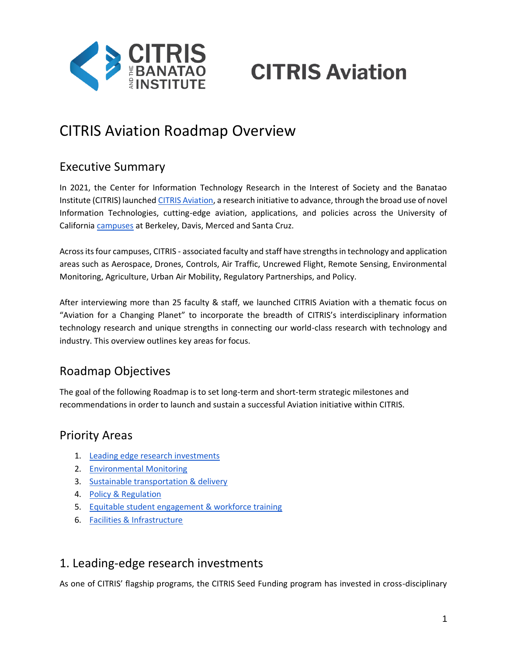

# **CITRIS Aviation**

## CITRIS Aviation Roadmap Overview

## Executive Summary

In 2021, the Center for Information Technology Research in the Interest of Society and the Banatao Institute (CITRIS) launched [CITRIS Aviation,](https://citris-uc.org/research/aviation/) a research initiative to advance, through the broad use of novel Information Technologies, cutting-edge aviation, applications, and policies across the University of California [campuses](https://citris-uc.org/about/campuses/) at Berkeley, Davis, Merced and Santa Cruz.

Across its four campuses, CITRIS - associated faculty and staff have strengths in technology and application areas such as Aerospace, Drones, Controls, Air Traffic, Uncrewed Flight, Remote Sensing, Environmental Monitoring, Agriculture, Urban Air Mobility, Regulatory Partnerships, and Policy.

After interviewing more than 25 faculty & staff, we launched CITRIS Aviation with a thematic focus on "Aviation for a Changing Planet" to incorporate the breadth of CITRIS's interdisciplinary information technology research and unique strengths in connecting our world-class research with technology and industry. This overview outlines key areas for focus.

## Roadmap Objectives

The goal of the following Roadmap is to set long-term and short-term strategic milestones and recommendations in order to launch and sustain a successful Aviation initiative within CITRIS.

### Priority Areas

- 1. [Leading edge research investments](#page-0-0)
- 2. [Environmental Monitoring](#page-1-0)
- 3. [Sustainable transportation & delivery](#page-1-1)
- 4. [Policy & Regulation](#page-2-0)
- 5. [Equitable student engagement & workforce training](#page-3-0)
- 6. [Facilities & Infrastructure](#page-3-1)

## <span id="page-0-0"></span>1. Leading-edge research investments

As one of CITRIS' flagship programs, the CITRIS Seed Funding program has invested in cross-disciplinary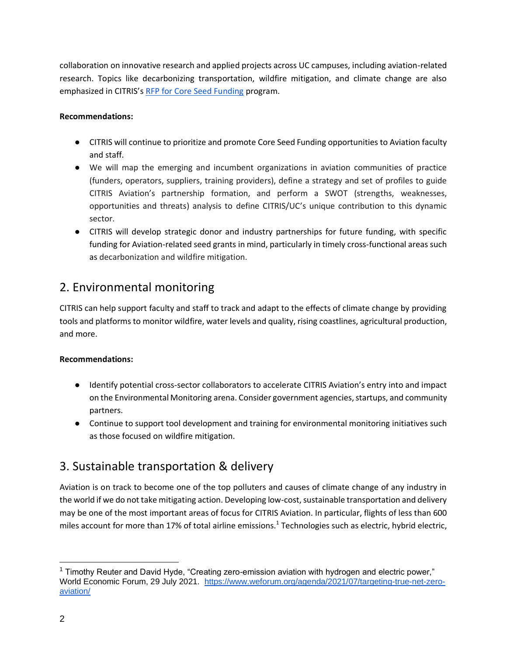collaboration on innovative research and applied projects across UC campuses, including aviation-related research. Topics like decarbonizing transportation, wildfire mitigation, and climate change are also emphasized in CITRIS's [RFP for Core Seed Funding](https://citris-uc.org/labs-programs/seed-funding/citris-core-seed-funding/) program.

#### **Recommendations:**

- CITRIS will continue to prioritize and promote Core Seed Funding opportunities to Aviation faculty and staff.
- We will map the emerging and incumbent organizations in aviation communities of practice (funders, operators, suppliers, training providers), define a strategy and set of profiles to guide CITRIS Aviation's partnership formation, and perform a SWOT (strengths, weaknesses, opportunities and threats) analysis to define CITRIS/UC's unique contribution to this dynamic sector.
- CITRIS will develop strategic donor and industry partnerships for future funding, with specific funding for Aviation-related seed grants in mind, particularly in timely cross-functional areas such as decarbonization and wildfire mitigation.

## <span id="page-1-0"></span>2. Environmental monitoring

CITRIS can help support faculty and staff to track and adapt to the effects of climate change by providing tools and platforms to monitor wildfire, water levels and quality, rising coastlines, agricultural production, and more.

#### **Recommendations:**

- Identify potential cross-sector collaborators to accelerate CITRIS Aviation's entry into and impact on the Environmental Monitoring arena. Consider government agencies, startups, and community partners.
- Continue to support tool development and training for environmental monitoring initiatives such as those focused on wildfire mitigation.

## <span id="page-1-1"></span>3. Sustainable transportation & delivery

Aviation is on track to become one of the top polluters and causes of climate change of any industry in the world if we do not take mitigating action. Developing low-cost, sustainable transportation and delivery may be one of the most important areas of focus for CITRIS Aviation. In particular, flights of less than 600 miles account for more than 17% of total airline emissions.<sup>1</sup> Technologies such as electric, hybrid electric,

 $1$  Timothy Reuter and David Hyde, "Creating zero-emission aviation with hydrogen and electric power," World Economic Forum, 29 July 2021. [https://www.weforum.org/agenda/2021/07/targeting-true-net-zero](https://www.weforum.org/agenda/2021/07/targeting-true-net-zero-aviation/)[aviation/](https://www.weforum.org/agenda/2021/07/targeting-true-net-zero-aviation/)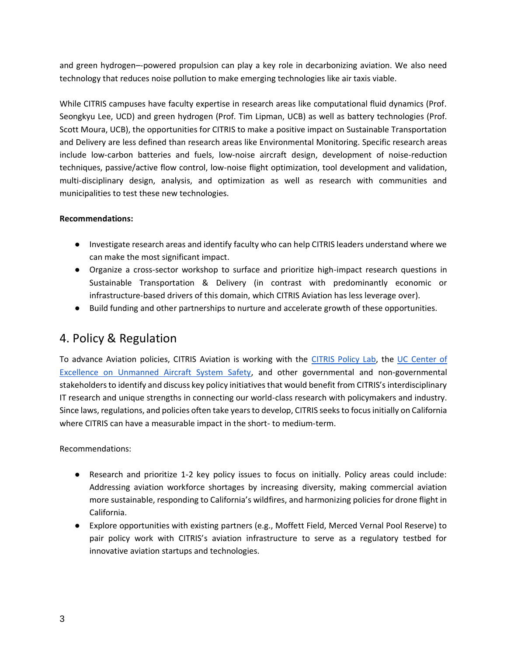and green hydrogen–-powered propulsion can play a key role in decarbonizing aviation. We also need technology that reduces noise pollution to make emerging technologies like air taxis viable.

While CITRIS campuses have faculty expertise in research areas like computational fluid dynamics (Prof. Seongkyu Lee, UCD) and green hydrogen (Prof. Tim Lipman, UCB) as well as battery technologies (Prof. Scott Moura, UCB), the opportunities for CITRIS to make a positive impact on Sustainable Transportation and Delivery are less defined than research areas like Environmental Monitoring. Specific research areas include low-carbon batteries and fuels, low-noise aircraft design, development of noise-reduction techniques, passive/active flow control, low-noise flight optimization, tool development and validation, multi-disciplinary design, analysis, and optimization as well as research with communities and municipalities to test these new technologies.

#### **Recommendations:**

- Investigate research areas and identify faculty who can help CITRIS leaders understand where we can make the most significant impact.
- Organize a cross-sector workshop to surface and prioritize high-impact research questions in Sustainable Transportation & Delivery (in contrast with predominantly economic or infrastructure-based drivers of this domain, which CITRIS Aviation has less leverage over).
- Build funding and other partnerships to nurture and accelerate growth of these opportunities.

## <span id="page-2-0"></span>4. Policy & Regulation

To advance Aviation policies, CITRIS Aviation is working with the [CITRIS Policy Lab,](https://citrispolicylab.org/) the [UC Center of](https://www.ucop.edu/safety-and-loss-prevention/environmental/program-resources/unmanned-aircraft-systems-safety.html)  [Excellence on Unmanned Aircraft System Safety,](https://www.ucop.edu/safety-and-loss-prevention/environmental/program-resources/unmanned-aircraft-systems-safety.html) and other governmental and non-governmental stakeholders to identify and discuss key policy initiatives that would benefit from CITRIS's interdisciplinary IT research and unique strengths in connecting our world-class research with policymakers and industry. Since laws, regulations, and policies often take years to develop, CITRIS seeks to focus initially on California where CITRIS can have a measurable impact in the short- to medium-term.

Recommendations:

- Research and prioritize 1-2 key policy issues to focus on initially. Policy areas could include: Addressing aviation workforce shortages by increasing diversity, making commercial aviation more sustainable, responding to California's wildfires, and harmonizing policies for drone flight in California.
- Explore opportunities with existing partners (e.g., Moffett Field, Merced Vernal Pool Reserve) to pair policy work with CITRIS's aviation infrastructure to serve as a regulatory testbed for innovative aviation startups and technologies.